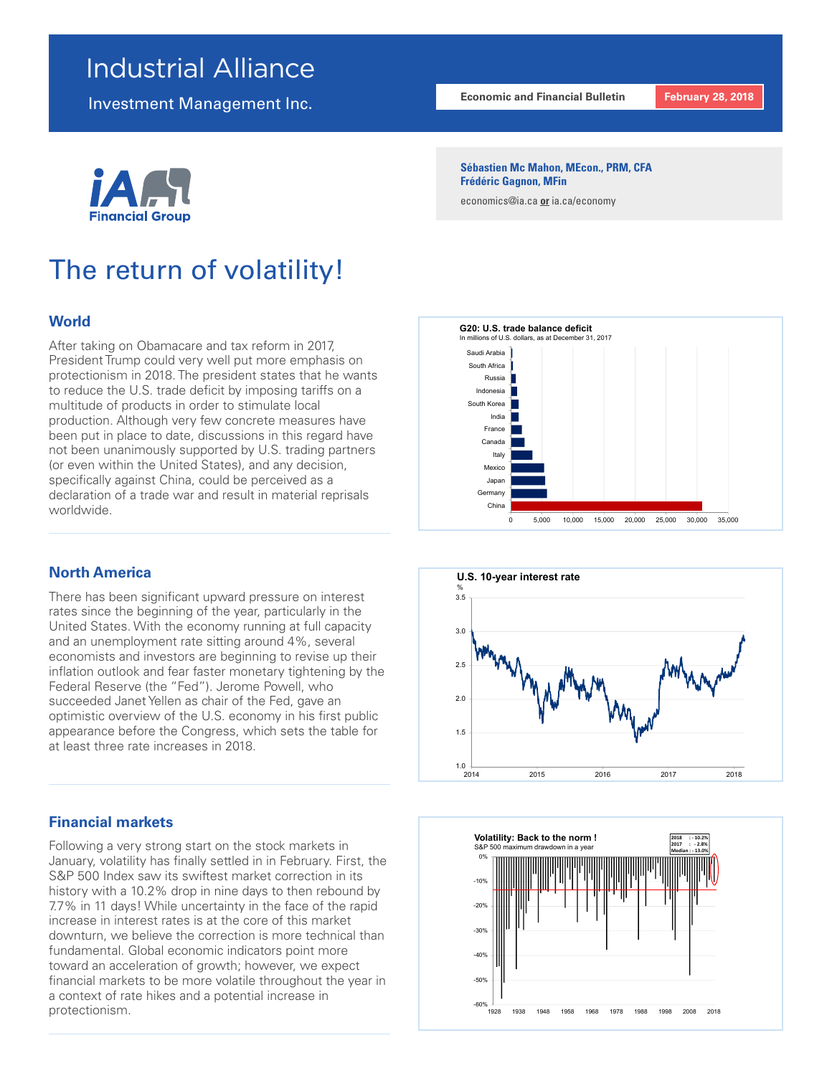## Industrial Alliance

Investment Management Inc.



# The return of volatility!

## **World**

After taking on Obamacare and tax reform in 2017, President Trump could very well put more emphasis on protectionism in 2018. The president states that he wants to reduce the U.S. trade deficit by imposing tariffs on a multitude of products in order to stimulate local production. Although very few concrete measures have been put in place to date, discussions in this regard have not been unanimously supported by U.S. trading partners (or even within the United States), and any decision, specifically against China, could be perceived as a declaration of a trade war and result in material reprisals worldwide.

## **North America**

There has been significant upward pressure on interest rates since the beginning of the year, particularly in the United States. With the economy running at full capacity and an unemployment rate sitting around 4%, several economists and investors are beginning to revise up their inflation outlook and fear faster monetary tightening by the Federal Reserve (the "Fed"). Jerome Powell, who succeeded Janet Yellen as chair of the Fed, gave an optimistic overview of the U.S. economy in his first public appearance before the Congress, which sets the table for at least three rate increases in 2018.

## **Financial markets**

Following a very strong start on the stock markets in January, volatility has finally settled in in February. First, the S&P 500 Index saw its swiftest market correction in its history with a 10.2% drop in nine days to then rebound by 7.7% in 11 days! While uncertainty in the face of the rapid increase in interest rates is at the core of this market downturn, we believe the correction is more technical than fundamental. Global economic indicators point more toward an acceleration of growth; however, we expect financial markets to be more volatile throughout the year in a context of rate hikes and a potential increase in protectionism.

#### **Sébastien Mc Mahon, MEcon., PRM, CFA Frédéric Gagnon, MFin**

economics@ia.ca **or** ia.ca/economy





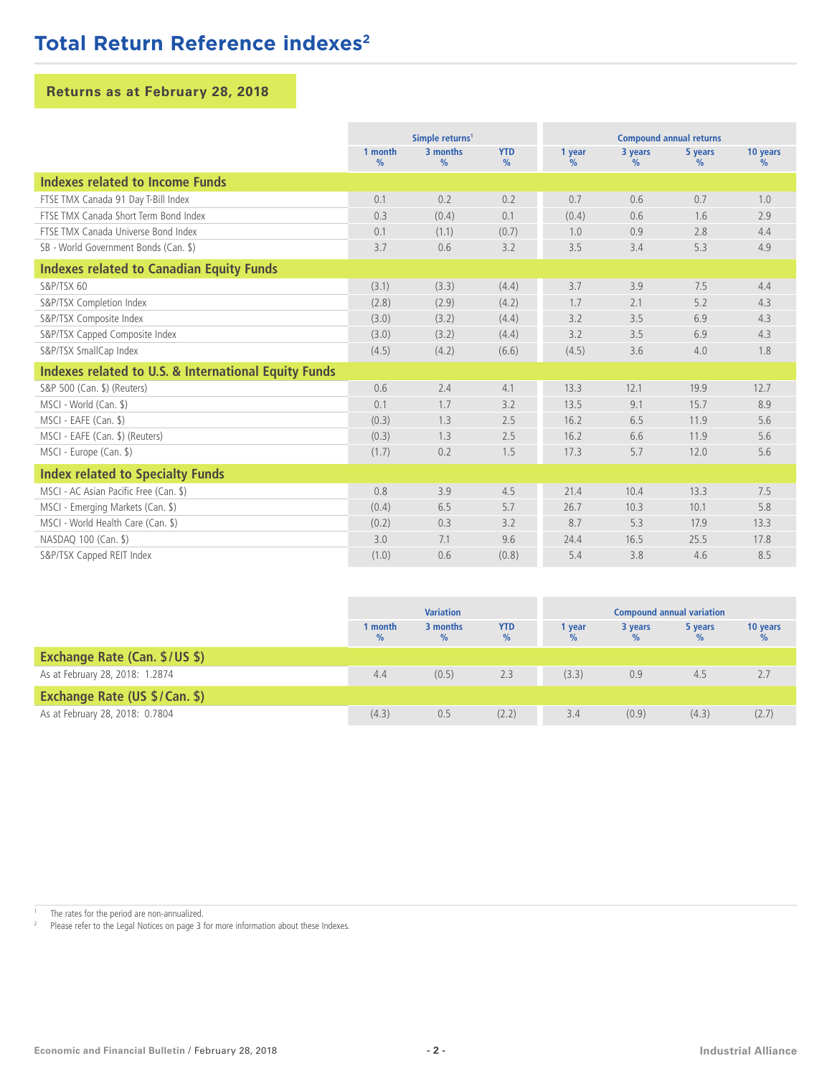## **Total Return Reference indexes<sup>2</sup>**

## **Returns as at February 28, 2018**

|                                                                 | Simple returns <sup>1</sup> |                           |                             | <b>Compound annual returns</b> |                 |                 |                           |
|-----------------------------------------------------------------|-----------------------------|---------------------------|-----------------------------|--------------------------------|-----------------|-----------------|---------------------------|
|                                                                 | 1 month<br>$\frac{9}{6}$    | 3 months<br>$\frac{9}{6}$ | <b>YTD</b><br>$\frac{9}{6}$ | 1 year<br>$\%$                 | 3 years<br>$\%$ | 5 years<br>$\%$ | 10 years<br>$\frac{9}{6}$ |
| Indexes related to Income Funds                                 |                             |                           |                             |                                |                 |                 |                           |
| FTSE TMX Canada 91 Day T-Bill Index                             | 0.1                         | 0.2                       | 0.2                         | 0.7                            | 0.6             | 0.7             | 1.0                       |
| FTSE TMX Canada Short Term Bond Index                           | 0.3                         | (0.4)                     | 0.1                         | (0.4)                          | 0.6             | 1.6             | 2.9                       |
| FTSE TMX Canada Universe Bond Index                             | 0.1                         | (1.1)                     | (0.7)                       | 1.0                            | 0.9             | 2.8             | 4.4                       |
| SB - World Government Bonds (Can. \$)                           | 3.7                         | 0.6                       | 3.2                         | 3.5                            | 3.4             | 5.3             | 4.9                       |
| <b>Indexes related to Canadian Equity Funds</b>                 |                             |                           |                             |                                |                 |                 |                           |
| S&P/TSX 60                                                      | (3.1)                       | (3.3)                     | (4.4)                       | 3.7                            | 3.9             | 7.5             | 4.4                       |
| S&P/TSX Completion Index                                        | (2.8)                       | (2.9)                     | (4.2)                       | 1.7                            | 2.1             | 5.2             | 4.3                       |
| S&P/TSX Composite Index                                         | (3.0)                       | (3.2)                     | (4.4)                       | 3.2                            | 3.5             | 6.9             | 4.3                       |
| S&P/TSX Capped Composite Index                                  | (3.0)                       | (3.2)                     | (4.4)                       | 3.2                            | 3.5             | 6.9             | 4.3                       |
| S&P/TSX SmallCap Index                                          | (4.5)                       | (4.2)                     | (6.6)                       | (4.5)                          | 3.6             | 4.0             | 1.8                       |
| <b>Indexes related to U.S. &amp; International Equity Funds</b> |                             |                           |                             |                                |                 |                 |                           |
| S&P 500 (Can. \$) (Reuters)                                     | 0.6                         | 2.4                       | 4.1                         | 13.3                           | 12.1            | 19.9            | 12.7                      |
| MSCI - World (Can. \$)                                          | 0.1                         | 1.7                       | 3.2                         | 13.5                           | 9.1             | 15.7            | 8.9                       |
| MSCI - EAFE (Can. \$)                                           | (0.3)                       | 1.3                       | 2.5                         | 16.2                           | 6.5             | 11.9            | 5.6                       |
| MSCI - EAFE (Can. \$) (Reuters)                                 | (0.3)                       | 1.3                       | 2.5                         | 16.2                           | 6.6             | 11.9            | 5.6                       |
| MSCI - Europe (Can. \$)                                         | (1.7)                       | 0.2                       | 1.5                         | 17.3                           | 5.7             | 12.0            | 5.6                       |
| <b>Index related to Specialty Funds</b>                         |                             |                           |                             |                                |                 |                 |                           |
| MSCI - AC Asian Pacific Free (Can. \$)                          | 0.8                         | 3.9                       | 4.5                         | 21.4                           | 10.4            | 13.3            | 7.5                       |
| MSCI - Emerging Markets (Can. \$)                               | (0.4)                       | 6.5                       | 5.7                         | 26.7                           | 10.3            | 10.1            | 5.8                       |
| MSCI - World Health Care (Can. \$)                              | (0.2)                       | 0.3                       | 3.2                         | 8.7                            | 5.3             | 17.9            | 13.3                      |
| NASDAQ 100 (Can. \$)                                            | 3.0                         | 7.1                       | 9.6                         | 24.4                           | 16.5            | 25.5            | 17.8                      |
| S&P/TSX Capped REIT Index                                       | (1.0)                       | 0.6                       | (0.8)                       | 5.4                            | 3.8             | 4.6             | 8.5                       |

|                                      | <b>Variation</b> |                  |                 | <b>Compound annual variation</b> |         |         |                           |
|--------------------------------------|------------------|------------------|-----------------|----------------------------------|---------|---------|---------------------------|
|                                      | 1 month<br>$\%$  | 3 months<br>$\%$ | <b>YTD</b><br>% | 1 year                           | 3 years | 5 years | 10 years<br>$\frac{0}{2}$ |
| Exchange Rate (Can. \$/US \$)        |                  |                  |                 |                                  |         |         |                           |
| As at February 28, 2018: 1.2874      | 4.4              | (0.5)            | 2.3             | (3.3)                            | 0.9     | 4.5     | 2.7                       |
| <b>Exchange Rate (US \$/Can. \$)</b> |                  |                  |                 |                                  |         |         |                           |
| As at February 28, 2018: 0.7804      | (4.3)            | 0.5              | (2.2)           | 3.4                              | (0.9)   | (4.3)   | (2.7)                     |

<sup>1</sup> The rates for the period are non-annualized.<br><sup>2</sup> Ploase refer to the Legal Notices on page  $2.5$ 

Please refer to the Legal Notices on page 3 for more information about these Indexes.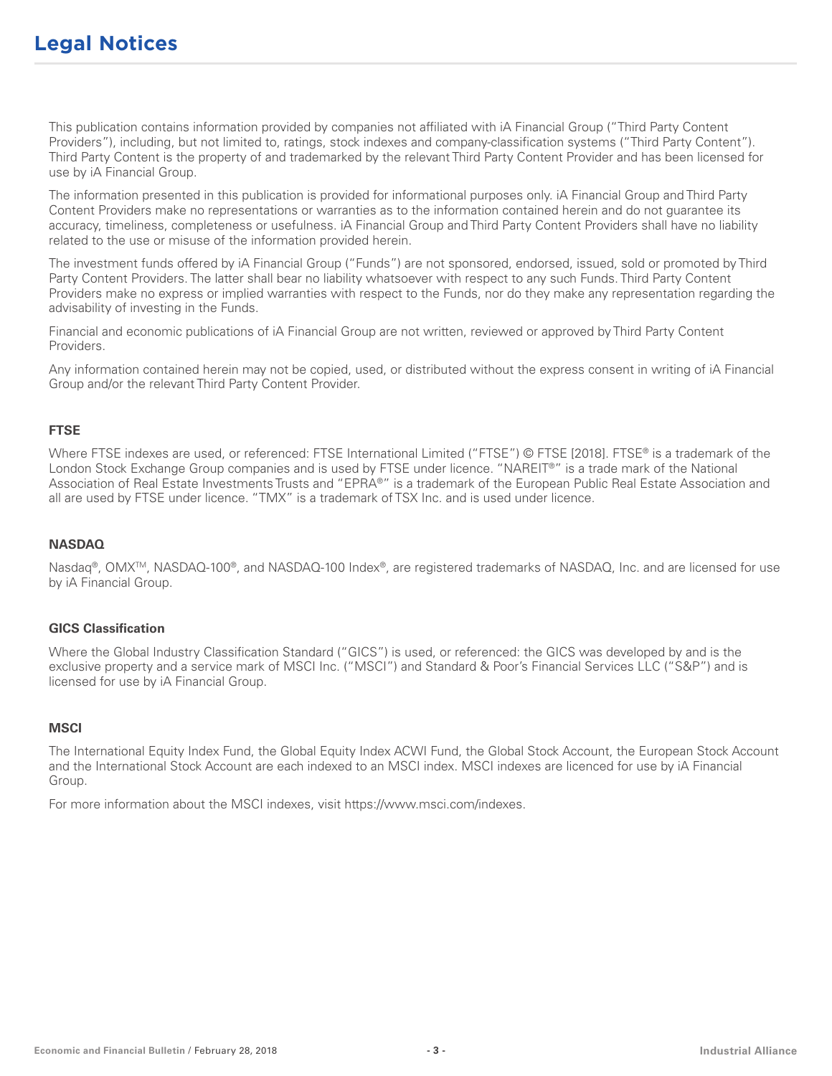This publication contains information provided by companies not affiliated with iA Financial Group ("Third Party Content Providers"), including, but not limited to, ratings, stock indexes and company-classification systems ("Third Party Content"). Third Party Content is the property of and trademarked by the relevant Third Party Content Provider and has been licensed for use by iA Financial Group.

The information presented in this publication is provided for informational purposes only. iA Financial Group and Third Party Content Providers make no representations or warranties as to the information contained herein and do not guarantee its accuracy, timeliness, completeness or usefulness. iA Financial Group and Third Party Content Providers shall have no liability related to the use or misuse of the information provided herein.

The investment funds offered by iA Financial Group ("Funds") are not sponsored, endorsed, issued, sold or promoted by Third Party Content Providers. The latter shall bear no liability whatsoever with respect to any such Funds. Third Party Content Providers make no express or implied warranties with respect to the Funds, nor do they make any representation regarding the advisability of investing in the Funds.

Financial and economic publications of iA Financial Group are not written, reviewed or approved by Third Party Content Providers.

Any information contained herein may not be copied, used, or distributed without the express consent in writing of iA Financial Group and/or the relevant Third Party Content Provider.

## **FTSE**

Where FTSE indexes are used, or referenced: FTSE International Limited ("FTSE") © FTSE [2018]. FTSE® is a trademark of the London Stock Exchange Group companies and is used by FTSE under licence. "NAREIT®" is a trade mark of the National Association of Real Estate Investments Trusts and "EPRA®" is a trademark of the European Public Real Estate Association and all are used by FTSE under licence. "TMX" is a trademark of TSX Inc. and is used under licence.

### **NASDAQ**

Nasdaq®, OMX<sup>™</sup>, NASDAQ-100®, and NASDAQ-100 Index®, are registered trademarks of NASDAQ, Inc. and are licensed for use by iA Financial Group.

#### **GICS Classification**

Where the Global Industry Classification Standard ("GICS") is used, or referenced: the GICS was developed by and is the exclusive property and a service mark of MSCI Inc. ("MSCI") and Standard & Poor's Financial Services LLC ("S&P") and is licensed for use by iA Financial Group.

## **MSCI**

The International Equity Index Fund, the Global Equity Index ACWI Fund, the Global Stock Account, the European Stock Account and the International Stock Account are each indexed to an MSCI index. MSCI indexes are licenced for use by iA Financial Group.

For more information about the MSCI indexes, visit https://www.msci.com/indexes.